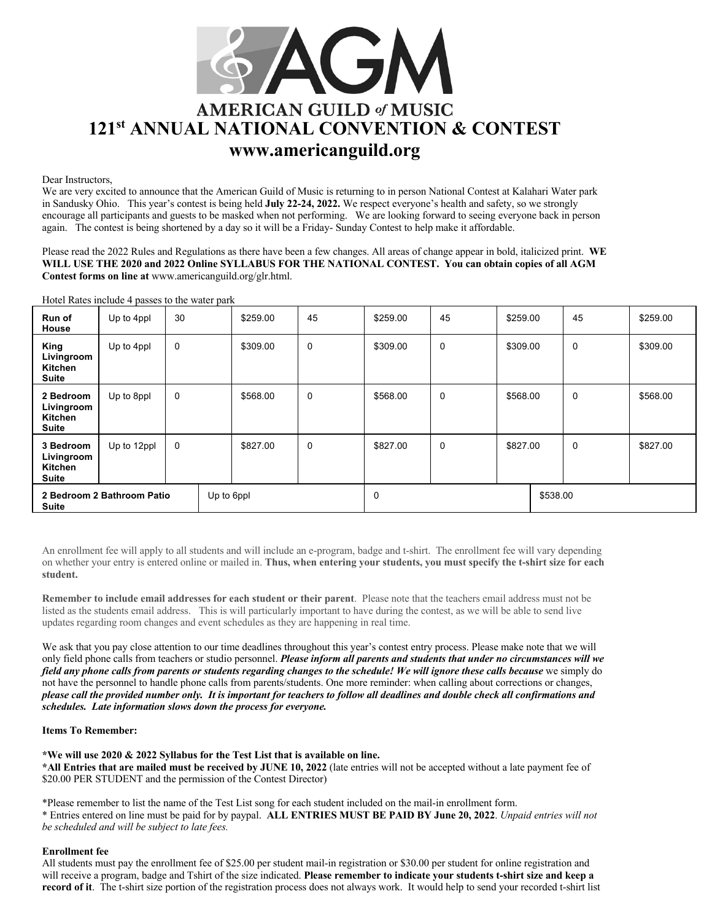

Dear Instructors,

We are very excited to announce that the American Guild of Music is returning to in person National Contest at Kalahari Water park in Sandusky Ohio. This year's contest is being held **July 22-24, 2022.** We respect everyone's health and safety, so we strongly encourage all participants and guests to be masked when not performing. We are looking forward to seeing everyone back in person again. The contest is being shortened by a day so it will be a Friday- Sunday Contest to help make it affordable.

Please read the 2022 Rules and Regulations as there have been a few changes. All areas of change appear in bold, italicized print. **WE WILL USE THE 2020 and 2022 Online SYLLABUS FOR THE NATIONAL CONTEST. You can obtain copies of all AGM Contest forms on line at** www.americanguild.org/glr.html.

Hotel Rates include 4 passes to the water park

| Run of<br>House                                          | Up to 4ppl  | 30          | \$259.00 | 45          | \$259.00 | 45 | \$259.00 |          | 45          | \$259.00 |
|----------------------------------------------------------|-------------|-------------|----------|-------------|----------|----|----------|----------|-------------|----------|
| King<br>Livingroom<br>Kitchen<br>Suite                   | Up to 4ppl  | 0           | \$309.00 | $\mathbf 0$ | \$309.00 | 0  | \$309.00 |          | $\mathbf 0$ | \$309.00 |
| 2 Bedroom<br>Livingroom<br>Kitchen<br><b>Suite</b>       | Up to 8ppl  | 0           | \$568.00 | $\mathbf 0$ | \$568.00 | 0  | \$568.00 |          | $\mathbf 0$ | \$568.00 |
| 3 Bedroom<br>Livingroom<br>Kitchen<br><b>Suite</b>       | Up to 12ppl | $\mathbf 0$ | \$827.00 | 0           | \$827.00 | 0  | \$827.00 |          | $\mathbf 0$ | \$827.00 |
| 2 Bedroom 2 Bathroom Patio<br>Up to 6ppl<br><b>Suite</b> |             |             |          |             | 0        |    |          | \$538.00 |             |          |

An enrollment fee will apply to all students and will include an e-program, badge and t-shirt. The enrollment fee will vary depending on whether your entry is entered online or mailed in. **Thus, when entering your students, you must specify the t-shirt size for each student.**

**Remember to include email addresses for each student or their parent**. Please note that the teachers email address must not be listed as the students email address. This is will particularly important to have during the contest, as we will be able to send live updates regarding room changes and event schedules as they are happening in real time.

We ask that you pay close attention to our time deadlines throughout this year's contest entry process. Please make note that we will only field phone calls from teachers or studio personnel. *Please inform all parents and students that under no circumstances will we field any phone calls from parents or students regarding changes to the schedule! We will ignore these calls because* we simply do not have the personnel to handle phone calls from parents/students. One more reminder: when calling about corrections or changes, *please call the provided number only. It is important for teachers to follow all deadlines and double check all confirmations and schedules. Late information slows down the process for everyone.* 

## **Items To Remember:**

### **\*We will use 2020 & 2022 Syllabus for the Test List that is available on line.**

**\*All Entries that are mailed must be received by JUNE 10, 2022** (late entries will not be accepted without a late payment fee of \$20.00 PER STUDENT and the permission of the Contest Director)

\*Please remember to list the name of the Test List song for each student included on the mail-in enrollment form. \* Entries entered on line must be paid for by paypal. **ALL ENTRIES MUST BE PAID BY June 20, 2022**. *Unpaid entries will not be scheduled and will be subject to late fees.* 

### **Enrollment fee**

All students must pay the enrollment fee of \$25.00 per student mail-in registration or \$30.00 per student for online registration and will receive a program, badge and Tshirt of the size indicated. **Please remember to indicate your students t-shirt size and keep a record of it**. The t-shirt size portion of the registration process does not always work. It would help to send your recorded t-shirt list